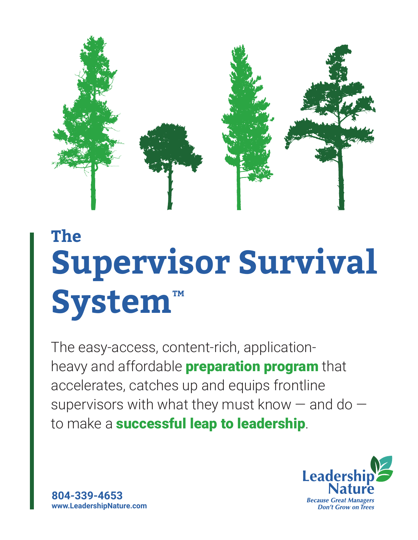

# **Supervisor Survival System™ The**

The easy-access, content-rich, applicationheavy and affordable **preparation program** that accelerates, catches up and equips frontline supervisors with what they must know — and do to make a **successful leap to leadership**.



**804-339-4653 www.LeadershipNature.com**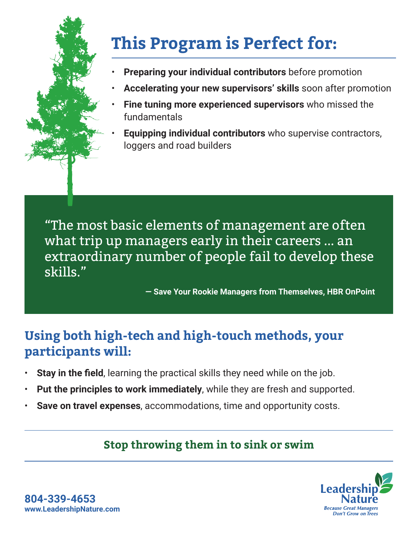## **This Program is Perfect for:**

- **Preparing your individual contributors** before promotion
- **Accelerating your new supervisors' skills** soon after promotion
- **Fine tuning more experienced supervisors** who missed the fundamentals
- **Equipping individual contributors** who supervise contractors, loggers and road builders

"The most basic elements of management are often what trip up managers early in their careers ... an extraordinary number of people fail to develop these skills."

**— Save Your Rookie Managers from Themselves, HBR OnPoint** 

#### **Using both high-tech and high-touch methods, your participants will:**

- **Stay in the field**, learning the practical skills they need while on the job.
- **Put the principles to work immediately**, while they are fresh and supported.
- **Save on travel expenses**, accommodations, time and opportunity costs.

#### **Stop throwing them in to sink or swim**



**804-339-4653 www.LeadershipNature.com**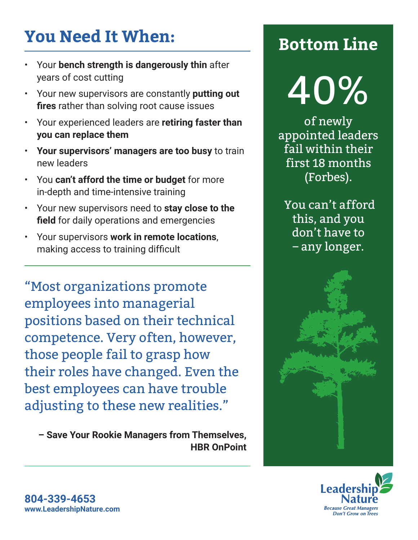## **You Need It When:**

- Your **bench strength is dangerously thin** after years of cost cutting
- Your new supervisors are constantly **putting out fires** rather than solving root cause issues
- Your experienced leaders are **retiring faster than you can replace them**
- **Your supervisors' managers are too busy** to train new leaders
- You **can't afford the time or budget** for more in-depth and time-intensive training
- Your new supervisors need to **stay close to the field** for daily operations and emergencies
- Your supervisors **work in remote locations**, making access to training difficult

"Most organizations promote employees into managerial positions based on their technical competence. Very often, however, those people fail to grasp how their roles have changed. Even the best employees can have trouble adjusting to these new realities."

**– Save Your Rookie Managers from Themselves, HBR OnPoint**

#### **Bottom Line**

40%

of newly appointed leaders fail within their first 18 months (Forbes).

 You can't afford this, and you don't have to – any longer.



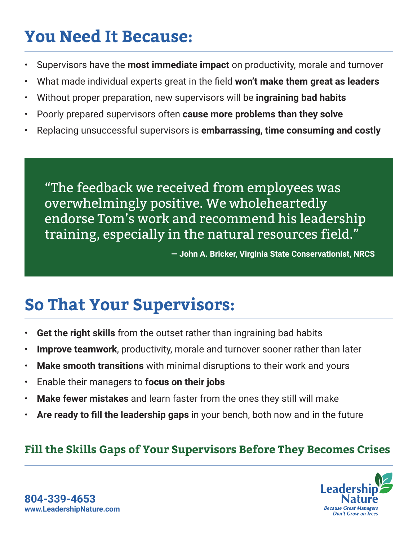## **You Need It Because:**

- Supervisors have the **most immediate impact** on productivity, morale and turnover
- What made individual experts great in the field **won't make them great as leaders**
- Without proper preparation, new supervisors will be **ingraining bad habits**
- Poorly prepared supervisors often **cause more problems than they solve**
- Replacing unsuccessful supervisors is **embarrassing, time consuming and costly**

"The feedback we received from employees was overwhelmingly positive. We wholeheartedly endorse Tom's work and recommend his leadership training, especially in the natural resources field."

**— John A. Bricker, Virginia State Conservationist, NRCS**

## **So That Your Supervisors:**

- **Get the right skills** from the outset rather than ingraining bad habits
- **Improve teamwork**, productivity, morale and turnover sooner rather than later
- **Make smooth transitions** with minimal disruptions to their work and yours
- Enable their managers to **focus on their jobs**
- **Make fewer mistakes** and learn faster from the ones they still will make
- **Are ready to fill the leadership gaps** in your bench, both now and in the future

#### **Fill the Skills Gaps of Your Supervisors Before They Becomes Crises**



**804-339-4653 www.LeadershipNature.com**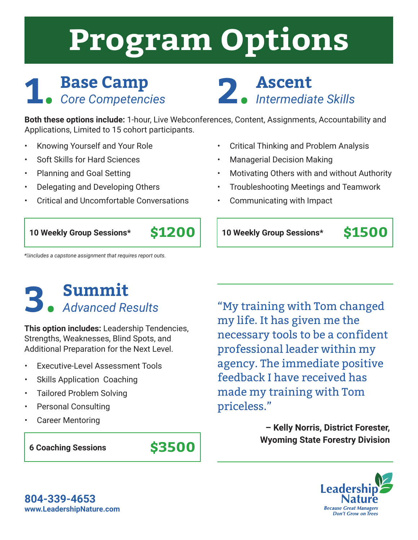# **Program Options**

### 1. Base Camp<br> **2.** *Core Competencies* **Base Camp**

**Ascent** *Intermediate Skills*

**Both these options include:** 1-hour, Live Webconferences, Content, Assignments, Accountability and Applications, Limited to 15 cohort participants.

- Knowing Yourself and Your Role
- Soft Skills for Hard Sciences
- Planning and Goal Setting
- Delegating and Developing Others
- Critical and Uncomfortable Conversations

• Critical Thinking and Problem Analysis

- Managerial Decision Making
- Motivating Others with and without Authority

**10 Weekly Group Sessions\* \$1500**

- Troubleshooting Meetings and Teamwork
- Communicating with Impact

**10 Weekly Group Sessions\* \$1200**

*\*…includes a capstone assignment that requires report outs.*

#### **3. Summit** *Advanced Results*

**This option includes:** Leadership Tendencies, Strengths, Weaknesses, Blind Spots, and Additional Preparation for the Next Level.

- Executive-Level Assessment Tools
- Skills Application Coaching
- Tailored Problem Solving
- Personal Consulting
- Career Mentoring

**6 Coaching Sessions \$3500**

"My training with Tom changed my life. It has given me the necessary tools to be a confident professional leader within my agency. The immediate positive feedback I have received has made my training with Tom priceless."

> **– Kelly Norris, District Forester, Wyoming State Forestry Division**